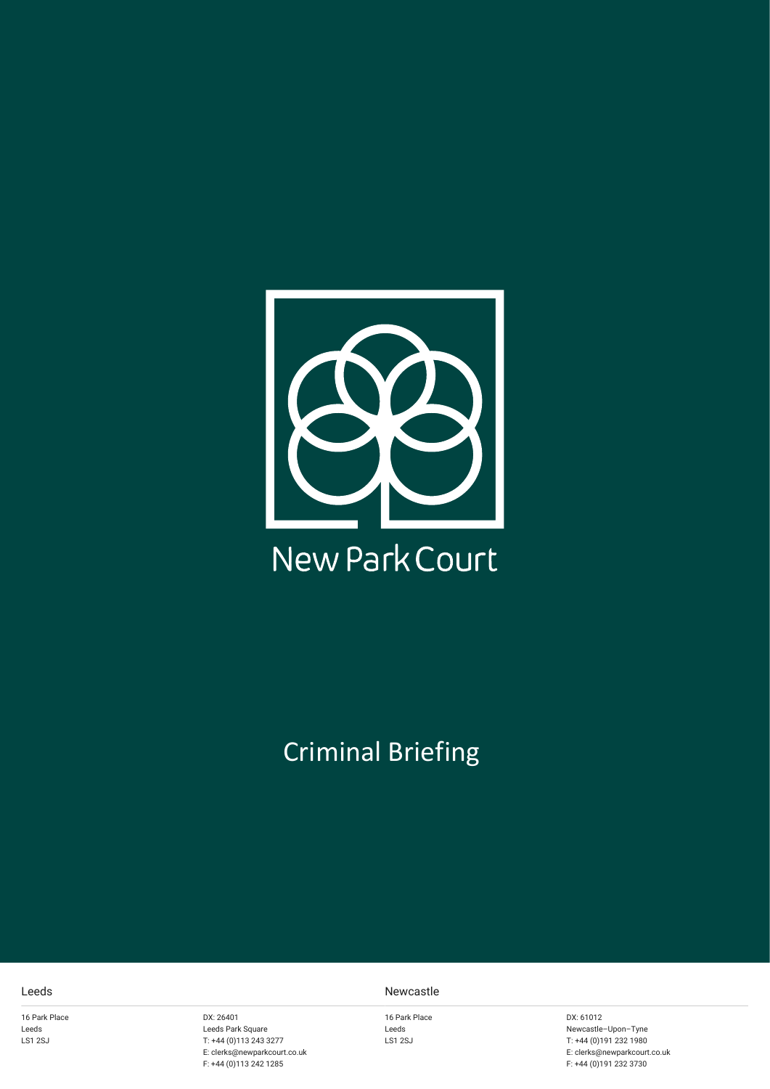

## Criminal Briefing

16 Park Place Leeds LS1 2SJ

DX: 26401 Leeds Park Square T: +44 (0)113 243 3277 E: clerks@newparkcourt.co.uk F: +44 (0)113 242 1285

## Leeds Newcastle

16 Park Place Leeds LS1 2SJ

DX: 61012 Newcastle–Upon–Tyne T: +44 (0)191 232 1980 E: clerks@newparkcourt.co.uk F: +44 (0)191 232 3730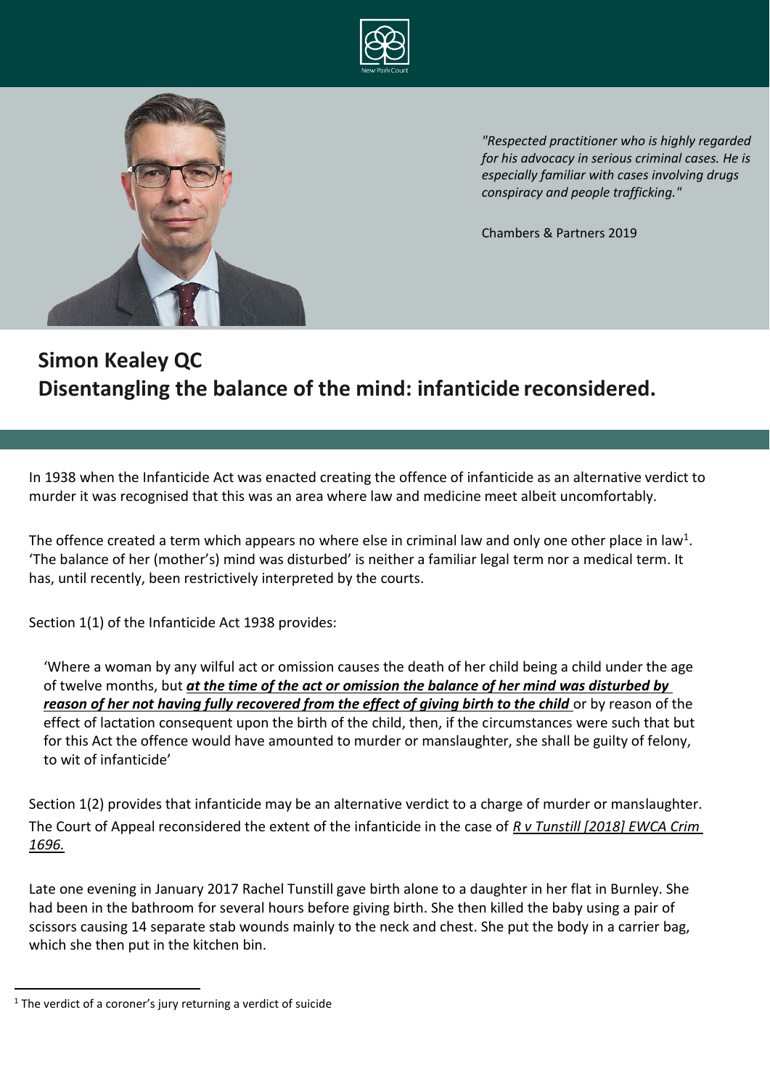



*"Respected practitioner who is highly regarded for his advocacy in serious criminal cases. He is especially familiar with cases involving drugs conspiracy and people trafficking."*

Chambers & Partners 2019

## **Simon Kealey QC Disentangling the balance of the mind: infanticide reconsidered.**

In 1938 when the Infanticide Act was enacted creating the offence of infanticide as an alternative verdict to murder it was recognised that this was an area where law and medicine meet albeit uncomfortably.

The offence created a term which appears no where else in criminal law and only one other place in law<sup>1</sup>. 'The balance of her (mother's) mind was disturbed' is neither a familiar legal term nor a medical term. It has, until recently, been restrictively interpreted by the courts.

Section 1(1) of the Infanticide Act 1938 provides:

'Where a woman by any wilful act or omission causes the death of her child being a child under the age of twelve months, but *at the time of the act or omission the balance of her mind was disturbed by*  reason of her not having fully recovered from the effect of giving birth to the child or by reason of the effect of lactation consequent upon the birth of the child, then, if the circumstances were such that but for this Act the offence would have amounted to murder or manslaughter, she shall be guilty of felony, to wit of infanticide'

Section 1(2) provides that infanticide may be an alternative verdict to a charge of murder or manslaughter. The Court of Appeal reconsidered the extent of the infanticide in the case of *R v Tunstill [2018] EWCA Crim 1696.*

Late one evening in January 2017 Rachel Tunstill gave birth alone to a daughter in her flat in Burnley. She had been in the bathroom for several hours before giving birth. She then killed the baby using a pair of scissors causing 14 separate stab wounds mainly to the neck and chest. She put the body in a carrier bag, which she then put in the kitchen bin.

 $1$  The verdict of a coroner's jury returning a verdict of suicide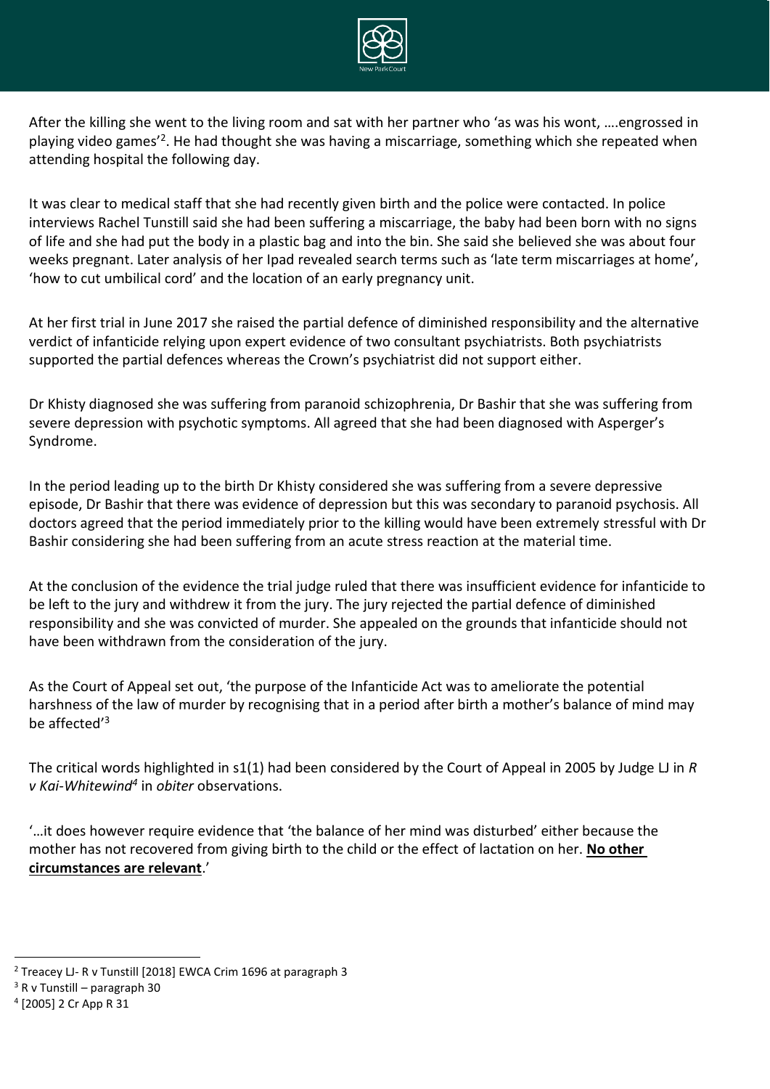

After the killing she went to the living room and sat with her partner who 'as was his wont, ….engrossed in playing video games<sup>'2</sup>. He had thought she was having a miscarriage, something which she repeated when attending hospital the following day.

It was clear to medical staff that she had recently given birth and the police were contacted. In police interviews Rachel Tunstill said she had been suffering a miscarriage, the baby had been born with no signs of life and she had put the body in a plastic bag and into the bin. She said she believed she was about four weeks pregnant. Later analysis of her Ipad revealed search terms such as 'late term miscarriages at home', 'how to cut umbilical cord' and the location of an early pregnancy unit.

At her first trial in June 2017 she raised the partial defence of diminished responsibility and the alternative verdict of infanticide relying upon expert evidence of two consultant psychiatrists. Both psychiatrists supported the partial defences whereas the Crown's psychiatrist did not support either.

Dr Khisty diagnosed she was suffering from paranoid schizophrenia, Dr Bashir that she was suffering from severe depression with psychotic symptoms. All agreed that she had been diagnosed with Asperger's Syndrome.

In the period leading up to the birth Dr Khisty considered she was suffering from a severe depressive episode, Dr Bashir that there was evidence of depression but this was secondary to paranoid psychosis. All doctors agreed that the period immediately prior to the killing would have been extremely stressful with Dr Bashir considering she had been suffering from an acute stress reaction at the material time.

At the conclusion of the evidence the trial judge ruled that there was insufficient evidence for infanticide to be left to the jury and withdrew it from the jury. The jury rejected the partial defence of diminished responsibility and she was convicted of murder. She appealed on the grounds that infanticide should not have been withdrawn from the consideration of the jury.

As the Court of Appeal set out, 'the purpose of the Infanticide Act was to ameliorate the potential harshness of the law of murder by recognising that in a period after birth a mother's balance of mind may be affected'<sup>3</sup>

The critical words highlighted in s1(1) had been considered by the Court of Appeal in 2005 by Judge LJ in *R v Kai-Whitewind<sup>4</sup>* in *obiter* observations.

'…it does however require evidence that 'the balance of her mind was disturbed' either because the mother has not recovered from giving birth to the child or the effect of lactation on her. **No other circumstances are relevant**.'

<sup>2</sup> Treacey LJ- R v Tunstill [2018] EWCA Crim 1696 at paragraph 3

 $3$  R v Tunstill – paragraph 30

<sup>4</sup> [2005] 2 Cr App R 31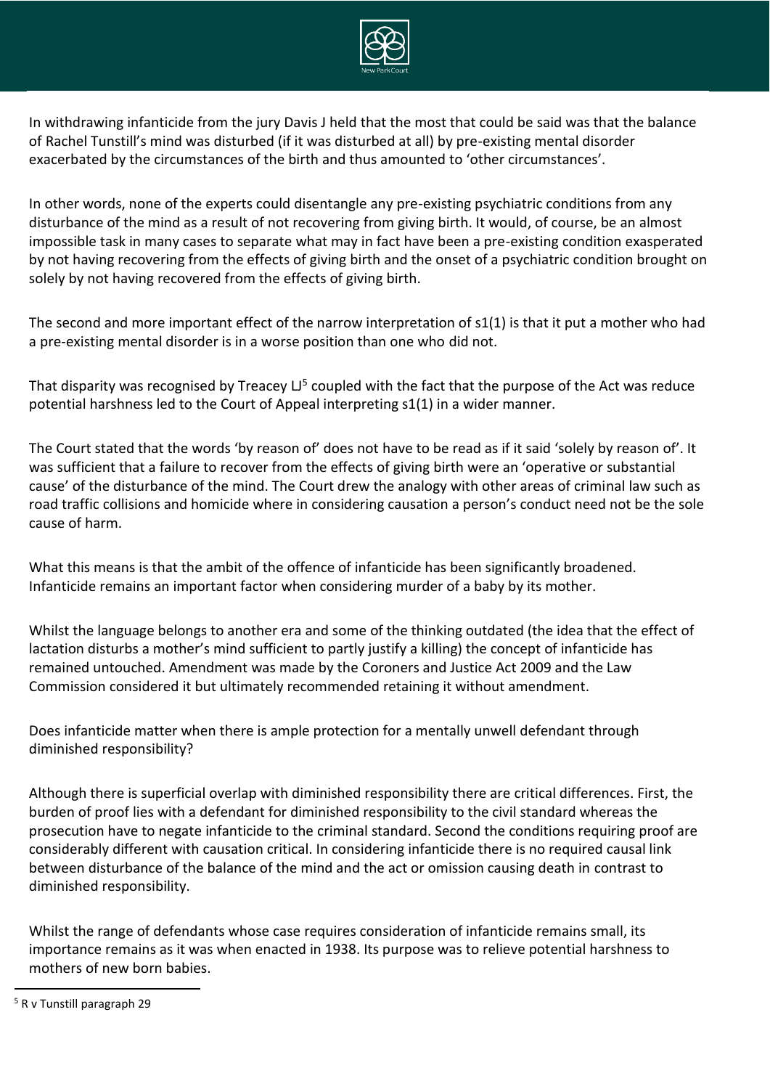

In withdrawing infanticide from the jury Davis J held that the most that could be said was that the balance of Rachel Tunstill's mind was disturbed (if it was disturbed at all) by pre-existing mental disorder exacerbated by the circumstances of the birth and thus amounted to 'other circumstances'.

In other words, none of the experts could disentangle any pre-existing psychiatric conditions from any disturbance of the mind as a result of not recovering from giving birth. It would, of course, be an almost impossible task in many cases to separate what may in fact have been a pre-existing condition exasperated by not having recovering from the effects of giving birth and the onset of a psychiatric condition brought on solely by not having recovered from the effects of giving birth.

The second and more important effect of the narrow interpretation of s1(1) is that it put a mother who had a pre-existing mental disorder is in a worse position than one who did not.

That disparity was recognised by Treacey  $L^{5}$  coupled with the fact that the purpose of the Act was reduce potential harshness led to the Court of Appeal interpreting s1(1) in a wider manner.

The Court stated that the words 'by reason of' does not have to be read as if it said 'solely by reason of'. It was sufficient that a failure to recover from the effects of giving birth were an 'operative or substantial cause' of the disturbance of the mind. The Court drew the analogy with other areas of criminal law such as road traffic collisions and homicide where in considering causation a person's conduct need not be the sole cause of harm.

What this means is that the ambit of the offence of infanticide has been significantly broadened. Infanticide remains an important factor when considering murder of a baby by its mother.

Whilst the language belongs to another era and some of the thinking outdated (the idea that the effect of lactation disturbs a mother's mind sufficient to partly justify a killing) the concept of infanticide has remained untouched. Amendment was made by the Coroners and Justice Act 2009 and the Law Commission considered it but ultimately recommended retaining it without amendment.

Does infanticide matter when there is ample protection for a mentally unwell defendant through diminished responsibility?

Although there is superficial overlap with diminished responsibility there are critical differences. First, the burden of proof lies with a defendant for diminished responsibility to the civil standard whereas the prosecution have to negate infanticide to the criminal standard. Second the conditions requiring proof are considerably different with causation critical. In considering infanticide there is no required causal link between disturbance of the balance of the mind and the act or omission causing death in contrast to diminished responsibility.

Whilst the range of defendants whose case requires consideration of infanticide remains small, its importance remains as it was when enacted in 1938. Its purpose was to relieve potential harshness to mothers of new born babies.

<sup>5</sup> R v Tunstill paragraph 29